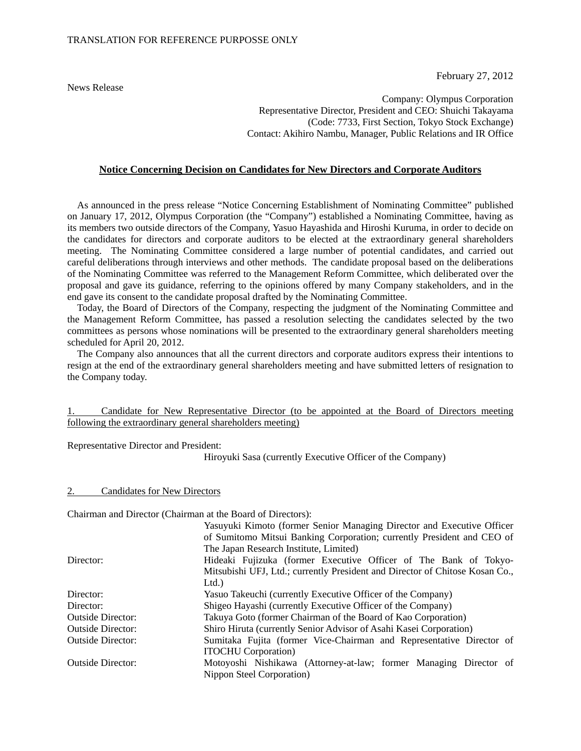News Release

February 27, 2012

Company: Olympus Corporation Representative Director, President and CEO: Shuichi Takayama (Code: 7733, First Section, Tokyo Stock Exchange) Contact: Akihiro Nambu, Manager, Public Relations and IR Office

#### **Notice Concerning Decision on Candidates for New Directors and Corporate Auditors**

As announced in the press release "Notice Concerning Establishment of Nominating Committee" published on January 17, 2012, Olympus Corporation (the "Company") established a Nominating Committee, having as its members two outside directors of the Company, Yasuo Hayashida and Hiroshi Kuruma, in order to decide on the candidates for directors and corporate auditors to be elected at the extraordinary general shareholders meeting. The Nominating Committee considered a large number of potential candidates, and carried out careful deliberations through interviews and other methods. The candidate proposal based on the deliberations of the Nominating Committee was referred to the Management Reform Committee, which deliberated over the proposal and gave its guidance, referring to the opinions offered by many Company stakeholders, and in the end gave its consent to the candidate proposal drafted by the Nominating Committee.

Today, the Board of Directors of the Company, respecting the judgment of the Nominating Committee and the Management Reform Committee, has passed a resolution selecting the candidates selected by the two committees as persons whose nominations will be presented to the extraordinary general shareholders meeting scheduled for April 20, 2012.

The Company also announces that all the current directors and corporate auditors express their intentions to resign at the end of the extraordinary general shareholders meeting and have submitted letters of resignation to the Company today.

|  |  | Candidate for New Representative Director (to be appointed at the Board of Directors meeting |  |  |  |  |  |
|--|--|----------------------------------------------------------------------------------------------|--|--|--|--|--|
|  |  | following the extraordinary general shareholders meeting)                                    |  |  |  |  |  |

Representative Director and President:

Hiroyuki Sasa (currently Executive Officer of the Company)

#### 2. Candidates for New Directors

Chairman and Director (Chairman at the Board of Directors):

|                          | Yasuyuki Kimoto (former Senior Managing Director and Executive Officer       |  |  |  |
|--------------------------|------------------------------------------------------------------------------|--|--|--|
|                          | of Sumitomo Mitsui Banking Corporation; currently President and CEO of       |  |  |  |
|                          | The Japan Research Institute, Limited)                                       |  |  |  |
| Director:                | Hideaki Fujizuka (former Executive Officer of The Bank of Tokyo-             |  |  |  |
|                          | Mitsubishi UFJ, Ltd.; currently President and Director of Chitose Kosan Co., |  |  |  |
|                          | Ltd.                                                                         |  |  |  |
| Director:                | Yasuo Takeuchi (currently Executive Officer of the Company)                  |  |  |  |
| Director:                | Shigeo Hayashi (currently Executive Officer of the Company)                  |  |  |  |
| <b>Outside Director:</b> | Takuya Goto (former Chairman of the Board of Kao Corporation)                |  |  |  |
| <b>Outside Director:</b> | Shiro Hiruta (currently Senior Advisor of Asahi Kasei Corporation)           |  |  |  |
| <b>Outside Director:</b> | Sumitaka Fujita (former Vice-Chairman and Representative Director of         |  |  |  |
|                          | <b>ITOCHU</b> Corporation)                                                   |  |  |  |
| <b>Outside Director:</b> | Motoyoshi Nishikawa (Attorney-at-law; former Managing Director of            |  |  |  |
|                          | Nippon Steel Corporation)                                                    |  |  |  |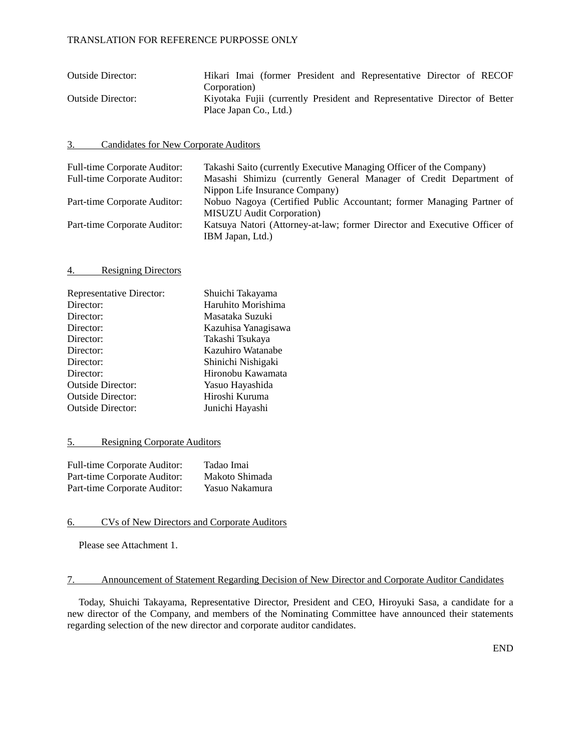| <b>Outside Director:</b> | Hikari Imai (former President and Representative Director of RECOF        |
|--------------------------|---------------------------------------------------------------------------|
|                          | Corporation)                                                              |
| <b>Outside Director:</b> | Kiyotaka Fujii (currently President and Representative Director of Better |
|                          | Place Japan Co., Ltd.)                                                    |

#### 3. Candidates for New Corporate Auditors

| <b>Full-time Corporate Auditor:</b> | Takashi Saito (currently Executive Managing Officer of the Company)       |
|-------------------------------------|---------------------------------------------------------------------------|
| <b>Full-time Corporate Auditor:</b> | Masashi Shimizu (currently General Manager of Credit Department of        |
|                                     | Nippon Life Insurance Company)                                            |
| Part-time Corporate Auditor:        | Nobuo Nagoya (Certified Public Accountant; former Managing Partner of     |
|                                     | <b>MISUZU</b> Audit Corporation                                           |
| Part-time Corporate Auditor:        | Katsuya Natori (Attorney-at-law; former Director and Executive Officer of |
|                                     | IBM Japan, Ltd.)                                                          |

#### 4. Resigning Directors

| <b>Representative Director:</b> | Shuichi Takayama    |
|---------------------------------|---------------------|
| Director:                       | Haruhito Morishima  |
| Director:                       | Masataka Suzuki     |
| Director:                       | Kazuhisa Yanagisawa |
| Director:                       | Takashi Tsukaya     |
| Director:                       | Kazuhiro Watanabe   |
| Director:                       | Shinichi Nishigaki  |
| Director:                       | Hironobu Kawamata   |
| <b>Outside Director:</b>        | Yasuo Hayashida     |
| <b>Outside Director:</b>        | Hiroshi Kuruma      |
| <b>Outside Director:</b>        | Junichi Hayashi     |

#### 5. Resigning Corporate Auditors

| Full-time Corporate Auditor: | Tadao Imai     |
|------------------------------|----------------|
| Part-time Corporate Auditor: | Makoto Shimada |
| Part-time Corporate Auditor: | Yasuo Nakamura |

#### 6. CVs of New Directors and Corporate Auditors

Please see Attachment 1.

#### 7. Announcement of Statement Regarding Decision of New Director and Corporate Auditor Candidates

Today, Shuichi Takayama, Representative Director, President and CEO, Hiroyuki Sasa, a candidate for a new director of the Company, and members of the Nominating Committee have announced their statements regarding selection of the new director and corporate auditor candidates.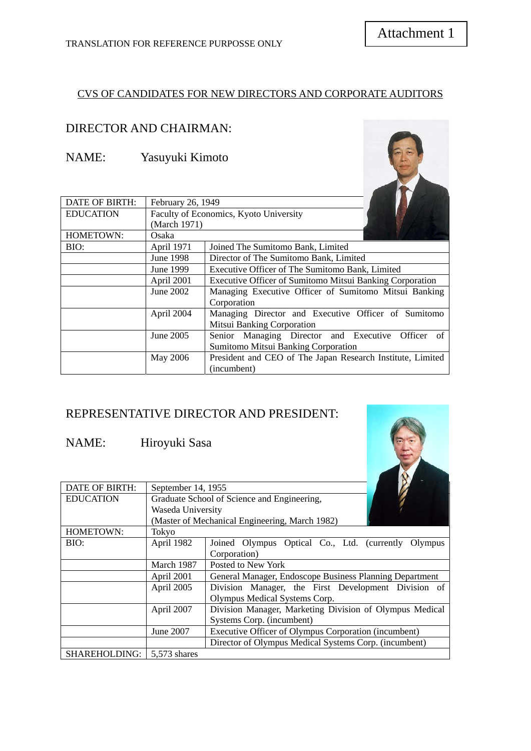### CVS OF CANDIDATES FOR NEW DIRECTORS AND CORPORATE AUDITORS

# : DIRECTOR AND CHAIRMAN

NAME: Yasuyuki Kimoto

| <b>DATE OF BIRTH:</b> | February 26, 1949                      |                                                                 |  |
|-----------------------|----------------------------------------|-----------------------------------------------------------------|--|
| <b>EDUCATION</b>      | Faculty of Economics, Kyoto University |                                                                 |  |
|                       | (March 1971)                           |                                                                 |  |
| HOMETOWN:             | Osaka                                  |                                                                 |  |
| BIO:                  | April 1971                             | Joined The Sumitomo Bank, Limited                               |  |
|                       | June 1998                              | Director of The Sumitomo Bank, Limited                          |  |
|                       | June 1999                              | Executive Officer of The Sumitomo Bank, Limited                 |  |
|                       | April 2001                             | <b>Executive Officer of Sumitomo Mitsui Banking Corporation</b> |  |
|                       | June 2002                              | Managing Executive Officer of Sumitomo Mitsui Banking           |  |
|                       |                                        | Corporation                                                     |  |
|                       | April 2004                             | Managing Director and Executive Officer of Sumitomo             |  |
|                       |                                        | Mitsui Banking Corporation                                      |  |
|                       | June 2005                              | Senior Managing Director and Executive Officer<br>of -          |  |
|                       |                                        | Sumitomo Mitsui Banking Corporation                             |  |
|                       | May 2006                               | President and CEO of The Japan Research Institute, Limited      |  |
|                       |                                        | (incumbent)                                                     |  |

# REPRESENTATIVE DIRECTOR AND PRESIDENT:

#### NAME: Hiroyuki Sasa

| <b>DATE OF BIRTH:</b> | September 14, 1955 |                                                         |
|-----------------------|--------------------|---------------------------------------------------------|
| <b>EDUCATION</b>      |                    | Graduate School of Science and Engineering,             |
|                       | Waseda University  |                                                         |
|                       |                    | (Master of Mechanical Engineering, March 1982)          |
| HOMETOWN:             | Tokyo              |                                                         |
| BIO:                  | April 1982         | Joined Olympus Optical Co., Ltd. (currently<br>Olympus  |
|                       |                    | Corporation)                                            |
|                       | March 1987         | Posted to New York                                      |
|                       | April 2001         | General Manager, Endoscope Business Planning Department |
|                       | April 2005         | Division Manager, the First Development Division of     |
|                       |                    | Olympus Medical Systems Corp.                           |
|                       | April 2007         | Division Manager, Marketing Division of Olympus Medical |
|                       |                    | Systems Corp. (incumbent)                               |
|                       | June 2007          | Executive Officer of Olympus Corporation (incumbent)    |
|                       |                    | Director of Olympus Medical Systems Corp. (incumbent)   |
| <b>SHAREHOLDING:</b>  | 5.573 shares       |                                                         |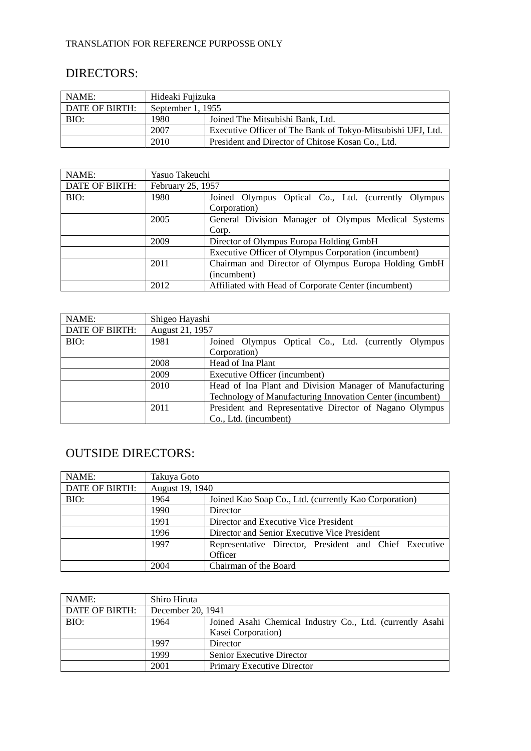# DIRECTORS:

| NAME:          | Hideaki Fujizuka  |                                                             |  |  |  |
|----------------|-------------------|-------------------------------------------------------------|--|--|--|
| DATE OF BIRTH: | September 1, 1955 |                                                             |  |  |  |
| BIO:           | 1980              | Joined The Mitsubishi Bank, Ltd.                            |  |  |  |
|                | 2007              | Executive Officer of The Bank of Tokyo-Mitsubishi UFJ, Ltd. |  |  |  |
|                | 2010              | President and Director of Chitose Kosan Co., Ltd.           |  |  |  |

| NAME:          | Yasuo Takeuchi    |                                                      |  |  |
|----------------|-------------------|------------------------------------------------------|--|--|
| DATE OF BIRTH: | February 25, 1957 |                                                      |  |  |
| BIO:           | 1980              | Joined Olympus Optical Co., Ltd. (currently Olympus  |  |  |
|                |                   | Corporation)                                         |  |  |
|                | 2005              | General Division Manager of Olympus Medical Systems  |  |  |
|                |                   | Corp.                                                |  |  |
|                | 2009              | Director of Olympus Europa Holding GmbH              |  |  |
|                |                   | Executive Officer of Olympus Corporation (incumbent) |  |  |
|                | 2011              | Chairman and Director of Olympus Europa Holding GmbH |  |  |
|                |                   | (incumbent)                                          |  |  |
|                | 2012              | Affiliated with Head of Corporate Center (incumbent) |  |  |

| NAME:          | Shigeo Hayashi                        |                                                           |  |  |
|----------------|---------------------------------------|-----------------------------------------------------------|--|--|
| DATE OF BIRTH: | August 21, 1957                       |                                                           |  |  |
| BIO:           | 1981                                  | Joined Olympus Optical Co., Ltd. (currently Olympus       |  |  |
|                |                                       | Corporation)                                              |  |  |
|                | 2008                                  | Head of Ina Plant                                         |  |  |
|                | 2009<br>Executive Officer (incumbent) |                                                           |  |  |
|                | 2010                                  | Head of Ina Plant and Division Manager of Manufacturing   |  |  |
|                |                                       | Technology of Manufacturing Innovation Center (incumbent) |  |  |
|                | 2011                                  | President and Representative Director of Nagano Olympus   |  |  |
|                |                                       | Co., Ltd. (incumbent)                                     |  |  |

# OUTSIDE DIRECTO RS:

| NAME:          | Takuya Goto     |                                                        |
|----------------|-----------------|--------------------------------------------------------|
| DATE OF BIRTH: | August 19, 1940 |                                                        |
| BIO:           | 1964            | Joined Kao Soap Co., Ltd. (currently Kao Corporation)  |
|                | 1990            | Director                                               |
|                | 1991            | Director and Executive Vice President                  |
|                | 1996            | Director and Senior Executive Vice President           |
|                | 1997            | Representative Director, President and Chief Executive |
|                |                 | Officer                                                |
|                | 2004            | Chairman of the Board                                  |

| NAME:          | Shiro Hiruta      |                                                           |
|----------------|-------------------|-----------------------------------------------------------|
| DATE OF BIRTH: | December 20, 1941 |                                                           |
| BIO:           | 1964              | Joined Asahi Chemical Industry Co., Ltd. (currently Asahi |
|                |                   | Kasei Corporation)                                        |
|                | 1997              | Director                                                  |
|                | 1999              | <b>Senior Executive Director</b>                          |
|                | 2001              | <b>Primary Executive Director</b>                         |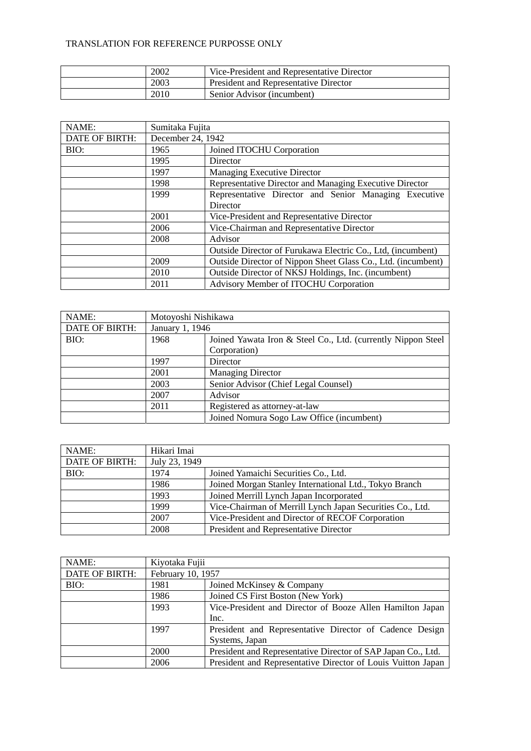| 2002 | Vice-President and Representative Director   |
|------|----------------------------------------------|
| 2003 | <b>President and Representative Director</b> |
| 2010 | Senior Advisor (incumbent)                   |

| NAME:                 | Sumitaka Fujita   |                                                              |
|-----------------------|-------------------|--------------------------------------------------------------|
| <b>DATE OF BIRTH:</b> | December 24, 1942 |                                                              |
| BIO:                  | 1965              | Joined ITOCHU Corporation                                    |
|                       | 1995              | Director                                                     |
|                       | 1997              | Managing Executive Director                                  |
|                       | 1998              | Representative Director and Managing Executive Director      |
|                       | 1999              | Representative Director and Senior Managing Executive        |
|                       |                   | Director                                                     |
|                       | 2001              | Vice-President and Representative Director                   |
|                       | 2006              | Vice-Chairman and Representative Director                    |
|                       | 2008              | Advisor                                                      |
|                       |                   | Outside Director of Furukawa Electric Co., Ltd. (incumbent)  |
|                       | 2009              | Outside Director of Nippon Sheet Glass Co., Ltd. (incumbent) |
|                       | 2010              | Outside Director of NKSJ Holdings, Inc. (incumbent)          |
|                       | 2011              | Advisory Member of ITOCHU Corporation                        |

| NAME:                 | Motoyoshi Nishikawa |                                                               |
|-----------------------|---------------------|---------------------------------------------------------------|
| <b>DATE OF BIRTH:</b> | January 1, 1946     |                                                               |
| BIO:                  | 1968                | Joined Yawata Iron & Steel Co., Ltd. (currently Nippon Steel) |
|                       |                     | Corporation)                                                  |
|                       | 1997                | Director                                                      |
|                       | 2001                | <b>Managing Director</b>                                      |
|                       | 2003                | Senior Advisor (Chief Legal Counsel)                          |
|                       | 2007                | Advisor                                                       |
|                       | 2011                | Registered as attorney-at-law                                 |
|                       |                     | Joined Nomura Sogo Law Office (incumbent)                     |

| NAME:          | Hikari Imai   |                                                           |
|----------------|---------------|-----------------------------------------------------------|
| DATE OF BIRTH: | July 23, 1949 |                                                           |
| BIO:           | 1974          | Joined Yamaichi Securities Co., Ltd.                      |
|                | 1986          | Joined Morgan Stanley International Ltd., Tokyo Branch    |
|                | 1993          | Joined Merrill Lynch Japan Incorporated                   |
|                | 1999          | Vice-Chairman of Merrill Lynch Japan Securities Co., Ltd. |
|                | 2007          | Vice-President and Director of RECOF Corporation          |
|                | 2008          | President and Representative Director                     |

| NAME:          | Kiyotaka Fujii    |                                                              |
|----------------|-------------------|--------------------------------------------------------------|
| DATE OF BIRTH: | February 10, 1957 |                                                              |
| BIO:           | 1981              | Joined McKinsey & Company                                    |
|                | 1986              | Joined CS First Boston (New York)                            |
|                | 1993              | Vice-President and Director of Booze Allen Hamilton Japan    |
|                |                   | Inc.                                                         |
|                | 1997              | President and Representative Director of Cadence Design      |
|                |                   | Systems, Japan                                               |
|                | 2000              | President and Representative Director of SAP Japan Co., Ltd. |
|                | 2006              | President and Representative Director of Louis Vuitton Japan |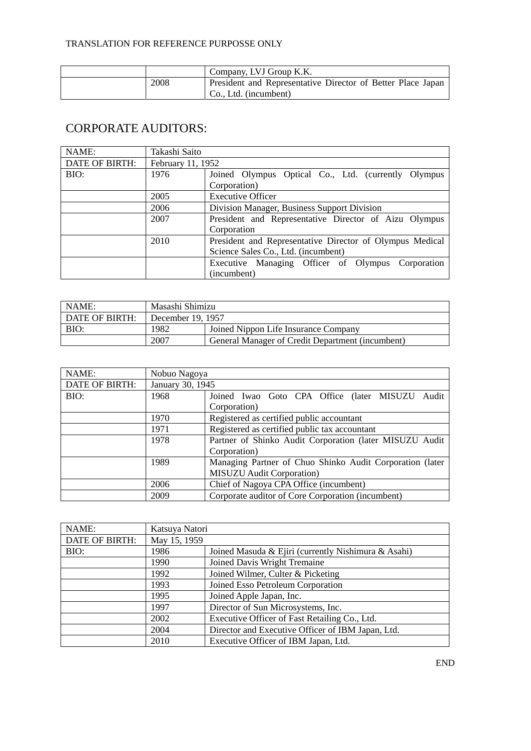|      | Company, LVJ Group K.K.                                     |
|------|-------------------------------------------------------------|
| 2008 | President and Representative Director of Better Place Japan |
|      | $\mathsf{Co.}, \mathsf{Ltd.}$ (incumbent)                   |

# CORPORATE AUDITORS:

| NAME:                 | Takashi Saito     |                                                          |
|-----------------------|-------------------|----------------------------------------------------------|
| <b>DATE OF BIRTH:</b> | February 11, 1952 |                                                          |
| BIO:                  | 1976              | Joined Olympus Optical Co., Ltd. (currently Olympus      |
|                       |                   | Corporation)                                             |
|                       | 2005              | <b>Executive Officer</b>                                 |
|                       | 2006              | Division Manager, Business Support Division              |
|                       | 2007              | President and Representative Director of Aizu Olympus    |
|                       |                   | Corporation                                              |
|                       | 2010              | President and Representative Director of Olympus Medical |
|                       |                   | Science Sales Co., Ltd. (incumbent)                      |
|                       |                   | Executive Managing Officer of Olympus Corporation        |
|                       |                   | (incumbent)                                              |

| l NAME:        | Masashi Shimizu   |                                                  |
|----------------|-------------------|--------------------------------------------------|
| DATE OF BIRTH: | December 19, 1957 |                                                  |
| BIO:           | 1982              | Joined Nippon Life Insurance Company             |
|                | 2007              | General Manager of Credit Department (incumbent) |

| NAME:          | Nobuo Nagoya     |                                                          |
|----------------|------------------|----------------------------------------------------------|
| DATE OF BIRTH: | January 30, 1945 |                                                          |
| BIO:           | 1968             | Joined Iwao Goto CPA Office (later MISUZU<br>Audit       |
|                |                  | Corporation)                                             |
|                | 1970             | Registered as certified public accountant                |
|                | 1971             | Registered as certified public tax accountant            |
|                | 1978             | Partner of Shinko Audit Corporation (later MISUZU Audit  |
|                |                  | Corporation)                                             |
|                | 1989             | Managing Partner of Chuo Shinko Audit Corporation (later |
|                |                  | <b>MISUZU</b> Audit Corporation)                         |
|                | 2006             | Chief of Nagoya CPA Office (incumbent)                   |
|                | 2009             | Corporate auditor of Core Corporation (incumbent)        |

| NAME:          | Katsuya Natori |                                                     |
|----------------|----------------|-----------------------------------------------------|
| DATE OF BIRTH: | May 15, 1959   |                                                     |
| BIO:           | 1986           | Joined Masuda & Ejiri (currently Nishimura & Asahi) |
|                | 1990           | Joined Davis Wright Tremaine                        |
|                | 1992           | Joined Wilmer, Culter & Picketing                   |
|                | 1993           | Joined Esso Petroleum Corporation                   |
|                | 1995           | Joined Apple Japan, Inc.                            |
|                | 1997           | Director of Sun Microsystems, Inc.                  |
|                | 2002           | Executive Officer of Fast Retailing Co., Ltd.       |
|                | 2004           | Director and Executive Officer of IBM Japan, Ltd.   |
|                | 2010           | Executive Officer of IBM Japan, Ltd.                |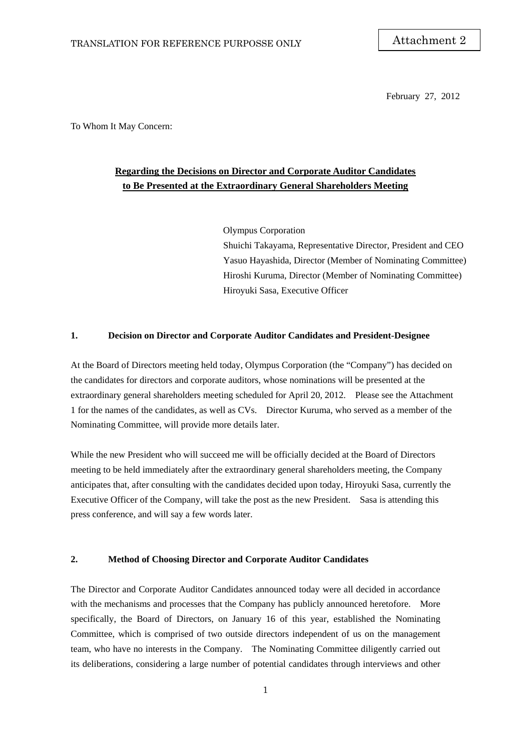February 27, 2012

To Whom It May Concern:

### **Regarding the Decisions on Director and Corporate Auditor Candidates to Be Presented at the Extraordinary General Shareholders Meeting**

Olympus Corporation Shuichi Takayama, Representative Director, President and CEO Yasuo Hayashida, Director (Member of Nominating Committee) Hiroshi Kuruma, Director (Member of Nominating Committee) Hiroyuki Sasa, Executive Officer

#### **1. Decision on Director and Corporate Auditor Candidates and President-Designee**

At the Board of Directors meeting held today, Olympus Corporation (the "Company") has decided on the candidates for directors and corporate auditors, whose nominations will be presented at the extraordinary general shareholders meeting scheduled for April 20, 2012. Please see the Attachment 1 for the names of the candidates, as well as CVs. Director Kuruma, who served as a member of the Nominating Committee, will provide more details later.

While the new President who will succeed me will be officially decided at the Board of Directors meeting to be held immediately after the extraordinary general shareholders meeting, the Company anticipates that, after consulting with the candidates decided upon today, Hiroyuki Sasa, currently the Executive Officer of the Company, will take the post as the new President. Sasa is attending this press conference, and will say a few words later.

#### **2. Method of Choosing Director and Corporate Auditor Candidates**

The Director and Corporate Auditor Candidates announced today were all decided in accordance with the mechanisms and processes that the Company has publicly announced heretofore. More specifically, the Board of Directors, on January 16 of this year, established the Nominating Committee, which is comprised of two outside directors independent of us on the management team, who have no interests in the Company. The Nominating Committee diligently carried out its deliberations, considering a large number of potential candidates through interviews and other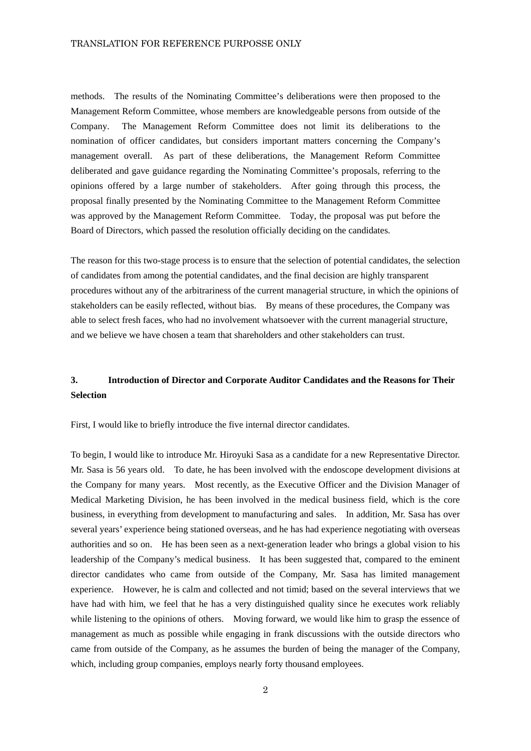methods. The results of the Nominating Committee's deliberations were then proposed to the Management Reform Committee, whose members are knowledgeable persons from outside of the Company. The Management Reform Committee does not limit its deliberations to the nomination of officer candidates, but considers important matters concerning the Company's management overall. As part of these deliberations, the Management Reform Committee deliberated and gave guidance regarding the Nominating Committee's proposals, referring to the opinions offered by a large number of stakeholders. After going through this process, the proposal finally presented by the Nominating Committee to the Management Reform Committee was approved by the Management Reform Committee. Today, the proposal was put before the Board of Directors, which passed the resolution officially deciding on the candidates.

The reason for this two-stage process is to ensure that the selection of potential candidates, the selection of candidates from among the potential candidates, and the final decision are highly transparent procedures without any of the arbitrariness of the current managerial structure, in which the opinions of stakeholders can be easily reflected, without bias. By means of these procedures, the Company was able to select fresh faces, who had no involvement whatsoever with the current managerial structure, and we believe we have chosen a team that shareholders and other stakeholders can trust.

### **3. Introduction of Director and Corporate Auditor Candidates and the Reasons for Their Selection**

First, I would like to briefly introduce the five internal director candidates.

To begin, I would like to introduce Mr. Hiroyuki Sasa as a candidate for a new Representative Director. Mr. Sasa is 56 years old. To date, he has been involved with the endoscope development divisions at the Company for many years. Most recently, as the Executive Officer and the Division Manager of Medical Marketing Division, he has been involved in the medical business field, which is the core business, in everything from development to manufacturing and sales. In addition, Mr. Sasa has over several years' experience being stationed overseas, and he has had experience negotiating with overseas authorities and so on. He has been seen as a next-generation leader who brings a global vision to his leadership of the Company's medical business. It has been suggested that, compared to the eminent director candidates who came from outside of the Company, Mr. Sasa has limited management experience. However, he is calm and collected and not timid; based on the several interviews that we have had with him, we feel that he has a very distinguished quality since he executes work reliably while listening to the opinions of others. Moving forward, we would like him to grasp the essence of management as much as possible while engaging in frank discussions with the outside directors who came from outside of the Company, as he assumes the burden of being the manager of the Company, which, including group companies, employs nearly forty thousand employees.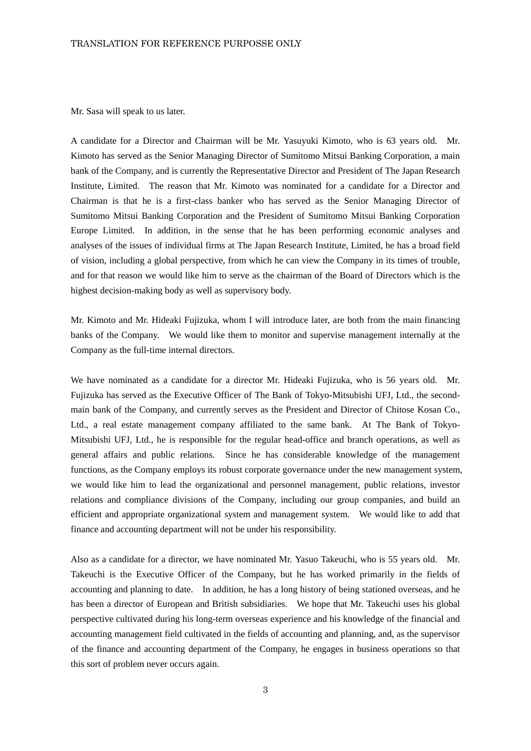Mr. Sasa will speak to us later.

A candidate for a Director and Chairman will be Mr. Yasuyuki Kimoto, who is 63 years old. Mr. Kimoto has served as the Senior Managing Director of Sumitomo Mitsui Banking Corporation, a main bank of the Company, and is currently the Representative Director and President of The Japan Research Institute, Limited. The reason that Mr. Kimoto was nominated for a candidate for a Director and Chairman is that he is a first-class banker who has served as the Senior Managing Director of Sumitomo Mitsui Banking Corporation and the President of Sumitomo Mitsui Banking Corporation Europe Limited. In addition, in the sense that he has been performing economic analyses and analyses of the issues of individual firms at The Japan Research Institute, Limited, he has a broad field of vision, including a global perspective, from which he can view the Company in its times of trouble, and for that reason we would like him to serve as the chairman of the Board of Directors which is the highest decision-making body as well as supervisory body.

Mr. Kimoto and Mr. Hideaki Fujizuka, whom I will introduce later, are both from the main financing banks of the Company. We would like them to monitor and supervise management internally at the Company as the full-time internal directors.

We have nominated as a candidate for a director Mr. Hideaki Fujizuka, who is 56 years old. Mr. Fujizuka has served as the Executive Officer of The Bank of Tokyo-Mitsubishi UFJ, Ltd., the secondmain bank of the Company, and currently serves as the President and Director of Chitose Kosan Co., Ltd., a real estate management company affiliated to the same bank. At The Bank of Tokyo-Mitsubishi UFJ, Ltd., he is responsible for the regular head-office and branch operations, as well as general affairs and public relations. Since he has considerable knowledge of the management functions, as the Company employs its robust corporate governance under the new management system, we would like him to lead the organizational and personnel management, public relations, investor relations and compliance divisions of the Company, including our group companies, and build an efficient and appropriate organizational system and management system. We would like to add that finance and accounting department will not be under his responsibility.

Also as a candidate for a director, we have nominated Mr. Yasuo Takeuchi, who is 55 years old. Mr. Takeuchi is the Executive Officer of the Company, but he has worked primarily in the fields of accounting and planning to date. In addition, he has a long history of being stationed overseas, and he has been a director of European and British subsidiaries. We hope that Mr. Takeuchi uses his global perspective cultivated during his long-term overseas experience and his knowledge of the financial and accounting management field cultivated in the fields of accounting and planning, and, as the supervisor of the finance and accounting department of the Company, he engages in business operations so that this sort of problem never occurs again.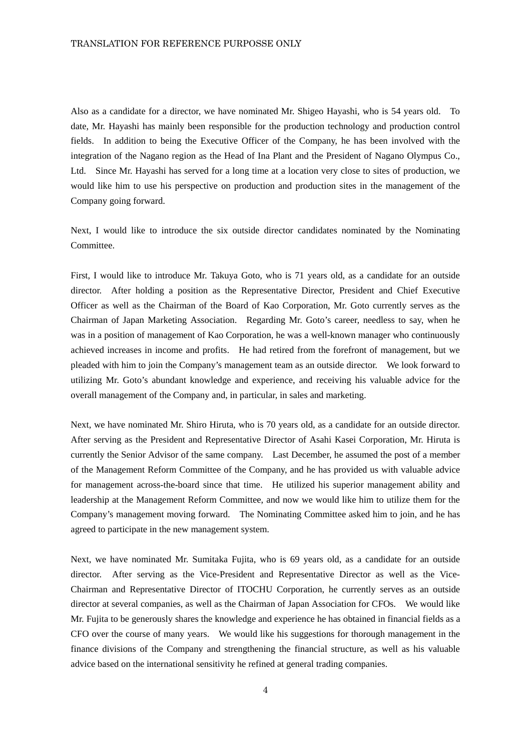Also as a candidate for a director, we have nominated Mr. Shigeo Hayashi, who is 54 years old. To date, Mr. Hayashi has mainly been responsible for the production technology and production control fields. In addition to being the Executive Officer of the Company, he has been involved with the integration of the Nagano region as the Head of Ina Plant and the President of Nagano Olympus Co., Ltd. Since Mr. Hayashi has served for a long time at a location very close to sites of production, we would like him to use his perspective on production and production sites in the management of the Company going forward.

Next, I would like to introduce the six outside director candidates nominated by the Nominating Committee.

First, I would like to introduce Mr. Takuya Goto, who is 71 years old, as a candidate for an outside director. After holding a position as the Representative Director, President and Chief Executive Officer as well as the Chairman of the Board of Kao Corporation, Mr. Goto currently serves as the Chairman of Japan Marketing Association. Regarding Mr. Goto's career, needless to say, when he was in a position of management of Kao Corporation, he was a well-known manager who continuously achieved increases in income and profits. He had retired from the forefront of management, but we pleaded with him to join the Company's management team as an outside director. We look forward to utilizing Mr. Goto's abundant knowledge and experience, and receiving his valuable advice for the overall management of the Company and, in particular, in sales and marketing.

Next, we have nominated Mr. Shiro Hiruta, who is 70 years old, as a candidate for an outside director. After serving as the President and Representative Director of Asahi Kasei Corporation, Mr. Hiruta is currently the Senior Advisor of the same company. Last December, he assumed the post of a member of the Management Reform Committee of the Company, and he has provided us with valuable advice for management across-the-board since that time. He utilized his superior management ability and leadership at the Management Reform Committee, and now we would like him to utilize them for the Company's management moving forward. The Nominating Committee asked him to join, and he has agreed to participate in the new management system.

Next, we have nominated Mr. Sumitaka Fujita, who is 69 years old, as a candidate for an outside director. After serving as the Vice-President and Representative Director as well as the Vice-Chairman and Representative Director of ITOCHU Corporation, he currently serves as an outside director at several companies, as well as the Chairman of Japan Association for CFOs. We would like Mr. Fujita to be generously shares the knowledge and experience he has obtained in financial fields as a CFO over the course of many years. We would like his suggestions for thorough management in the finance divisions of the Company and strengthening the financial structure, as well as his valuable advice based on the international sensitivity he refined at general trading companies.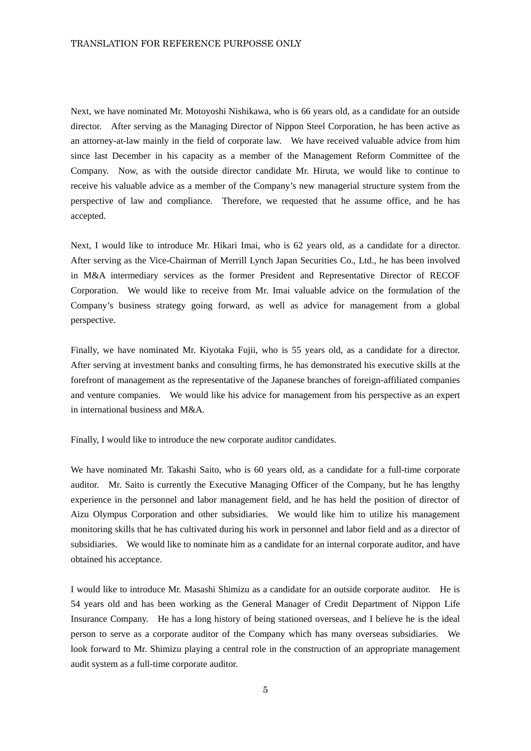Next, we have nominated Mr. Motoyoshi Nishikawa, who is 66 years old, as a candidate for an outside director. After serving as the Managing Director of Nippon Steel Corporation, he has been active as an attorney-at-law mainly in the field of corporate law. We have received valuable advice from him since last December in his capacity as a member of the Management Reform Committee of the Company. Now, as with the outside director candidate Mr. Hiruta, we would like to continue to receive his valuable advice as a member of the Company's new managerial structure system from the perspective of law and compliance. Therefore, we requested that he assume office, and he has accepted.

Next, I would like to introduce Mr. Hikari Imai, who is 62 years old, as a candidate for a director. After serving as the Vice-Chairman of Merrill Lynch Japan Securities Co., Ltd., he has been involved in M&A intermediary services as the former President and Representative Director of RECOF Corporation. We would like to receive from Mr. Imai valuable advice on the formulation of the Company's business strategy going forward, as well as advice for management from a global perspective.

Finally, we have nominated Mr. Kiyotaka Fujii, who is 55 years old, as a candidate for a director. After serving at investment banks and consulting firms, he has demonstrated his executive skills at the forefront of management as the representative of the Japanese branches of foreign-affiliated companies and venture companies. We would like his advice for management from his perspective as an expert in international business and M&A.

Finally, I would like to introduce the new corporate auditor candidates.

We have nominated Mr. Takashi Saito, who is 60 years old, as a candidate for a full-time corporate auditor. Mr. Saito is currently the Executive Managing Officer of the Company, but he has lengthy experience in the personnel and labor management field, and he has held the position of director of Aizu Olympus Corporation and other subsidiaries. We would like him to utilize his management monitoring skills that he has cultivated during his work in personnel and labor field and as a director of subsidiaries. We would like to nominate him as a candidate for an internal corporate auditor, and have obtained his acceptance.

I would like to introduce Mr. Masashi Shimizu as a candidate for an outside corporate auditor. He is 54 years old and has been working as the General Manager of Credit Department of Nippon Life Insurance Company. He has a long history of being stationed overseas, and I believe he is the ideal person to serve as a corporate auditor of the Company which has many overseas subsidiaries. We look forward to Mr. Shimizu playing a central role in the construction of an appropriate management audit system as a full-time corporate auditor.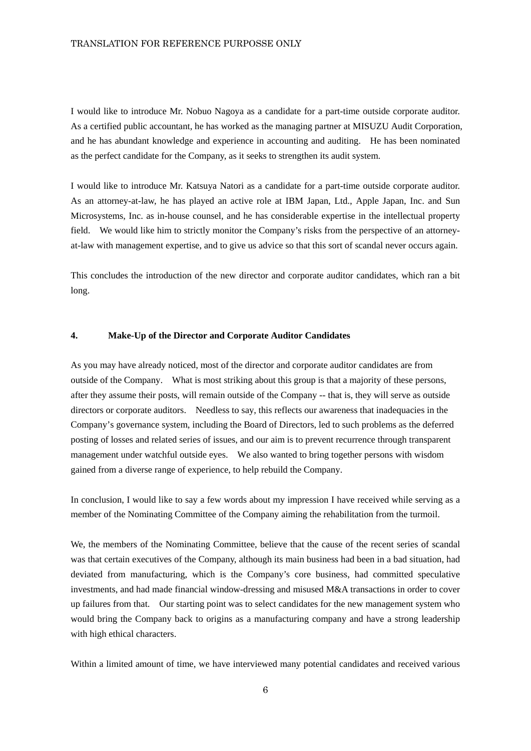I would like to introduce Mr. Nobuo Nagoya as a candidate for a part-time outside corporate auditor. As a certified public accountant, he has worked as the managing partner at MISUZU Audit Corporation, and he has abundant knowledge and experience in accounting and auditing. He has been nominated as the perfect candidate for the Company, as it seeks to strengthen its audit system.

I would like to introduce Mr. Katsuya Natori as a candidate for a part-time outside corporate auditor. As an attorney-at-law, he has played an active role at IBM Japan, Ltd., Apple Japan, Inc. and Sun Microsystems, Inc. as in-house counsel, and he has considerable expertise in the intellectual property field. We would like him to strictly monitor the Company's risks from the perspective of an attorneyat-law with management expertise, and to give us advice so that this sort of scandal never occurs again.

This concludes the introduction of the new director and corporate auditor candidates, which ran a bit long.

#### **4. Make-Up of the Director and Corporate Auditor Candidates**

As you may have already noticed, most of the director and corporate auditor candidates are from outside of the Company. What is most striking about this group is that a majority of these persons, after they assume their posts, will remain outside of the Company -- that is, they will serve as outside directors or corporate auditors. Needless to say, this reflects our awareness that inadequacies in the Company's governance system, including the Board of Directors, led to such problems as the deferred posting of losses and related series of issues, and our aim is to prevent recurrence through transparent management under watchful outside eyes. We also wanted to bring together persons with wisdom gained from a diverse range of experience, to help rebuild the Company.

In conclusion, I would like to say a few words about my impression I have received while serving as a member of the Nominating Committee of the Company aiming the rehabilitation from the turmoil.

We, the members of the Nominating Committee, believe that the cause of the recent series of scandal was that certain executives of the Company, although its main business had been in a bad situation, had deviated from manufacturing, which is the Company's core business, had committed speculative investments, and had made financial window-dressing and misused M&A transactions in order to cover up failures from that. Our starting point was to select candidates for the new management system who would bring the Company back to origins as a manufacturing company and have a strong leadership with high ethical characters.

Within a limited amount of time, we have interviewed many potential candidates and received various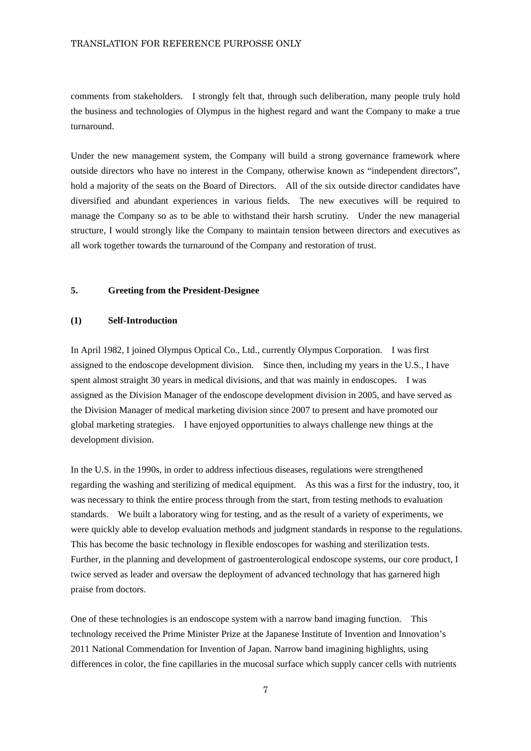comments from stakeholders. I strongly felt that, through such deliberation, many people truly hold the business and technologies of Olympus in the highest regard and want the Company to make a true turnaround.

Under the new management system, the Company will build a strong governance framework where outside directors who have no interest in the Company, otherwise known as "independent directors", hold a majority of the seats on the Board of Directors. All of the six outside director candidates have diversified and abundant experiences in various fields. The new executives will be required to manage the Company so as to be able to withstand their harsh scrutiny. Under the new managerial structure, I would strongly like the Company to maintain tension between directors and executives as all work together towards the turnaround of the Company and restoration of trust.

#### **5. Greeting from the President-Designee**

#### **(1) Self-Introduction**

In April 1982, I joined Olympus Optical Co., Ltd., currently Olympus Corporation. I was first assigned to the endoscope development division. Since then, including my years in the U.S., I have spent almost straight 30 years in medical divisions, and that was mainly in endoscopes. I was assigned as the Division Manager of the endoscope development division in 2005, and have served as the Division Manager of medical marketing division since 2007 to present and have promoted our global marketing strategies. I have enjoyed opportunities to always challenge new things at the development division.

In the U.S. in the 1990s, in order to address infectious diseases, regulations were strengthened regarding the washing and sterilizing of medical equipment. As this was a first for the industry, too, it was necessary to think the entire process through from the start, from testing methods to evaluation standards. We built a laboratory wing for testing, and as the result of a variety of experiments, we were quickly able to develop evaluation methods and judgment standards in response to the regulations. This has become the basic technology in flexible endoscopes for washing and sterilization tests. Further, in the planning and development of gastroenterological endoscope systems, our core product, I twice served as leader and oversaw the deployment of advanced technology that has garnered high praise from doctors.

One of these technologies is an endoscope system with a narrow band imaging function. This technology received the Prime Minister Prize at the Japanese Institute of Invention and Innovation's 2011 National Commendation for Invention of Japan. Narrow band imagining highlights, using differences in color, the fine capillaries in the mucosal surface which supply cancer cells with nutrients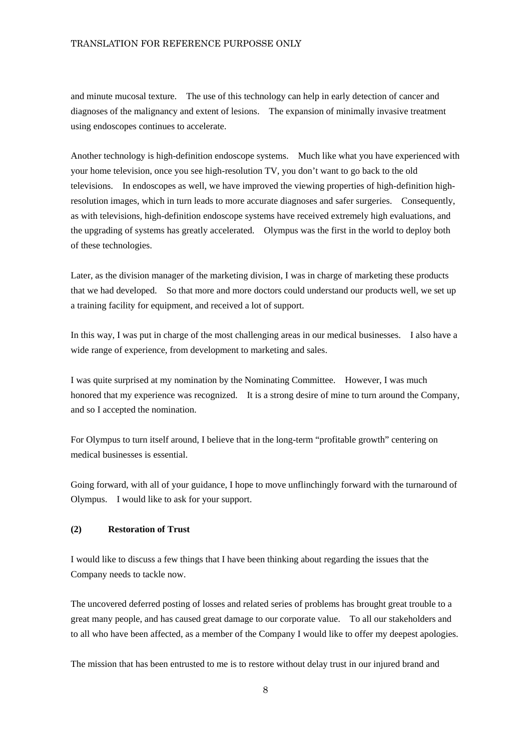and minute mucosal texture. The use of this technology can help in early detection of cancer and diagnoses of the malignancy and extent of lesions. The expansion of minimally invasive treatment using endoscopes continues to accelerate.

Another technology is high-definition endoscope systems. Much like what you have experienced with your home television, once you see high-resolution TV, you don't want to go back to the old televisions. In endoscopes as well, we have improved the viewing properties of high-definition highresolution images, which in turn leads to more accurate diagnoses and safer surgeries. Consequently, as with televisions, high-definition endoscope systems have received extremely high evaluations, and the upgrading of systems has greatly accelerated. Olympus was the first in the world to deploy both of these technologies.

Later, as the division manager of the marketing division, I was in charge of marketing these products that we had developed. So that more and more doctors could understand our products well, we set up a training facility for equipment, and received a lot of support.

In this way, I was put in charge of the most challenging areas in our medical businesses. I also have a wide range of experience, from development to marketing and sales.

I was quite surprised at my nomination by the Nominating Committee. However, I was much honored that my experience was recognized. It is a strong desire of mine to turn around the Company, and so I accepted the nomination.

For Olympus to turn itself around, I believe that in the long-term "profitable growth" centering on medical businesses is essential.

Going forward, with all of your guidance, I hope to move unflinchingly forward with the turnaround of Olympus. I would like to ask for your support.

#### **(2) Restoration of Trust**

I would like to discuss a few things that I have been thinking about regarding the issues that the Company needs to tackle now.

The uncovered deferred posting of losses and related series of problems has brought great trouble to a great many people, and has caused great damage to our corporate value. To all our stakeholders and to all who have been affected, as a member of the Company I would like to offer my deepest apologies.

The mission that has been entrusted to me is to restore without delay trust in our injured brand and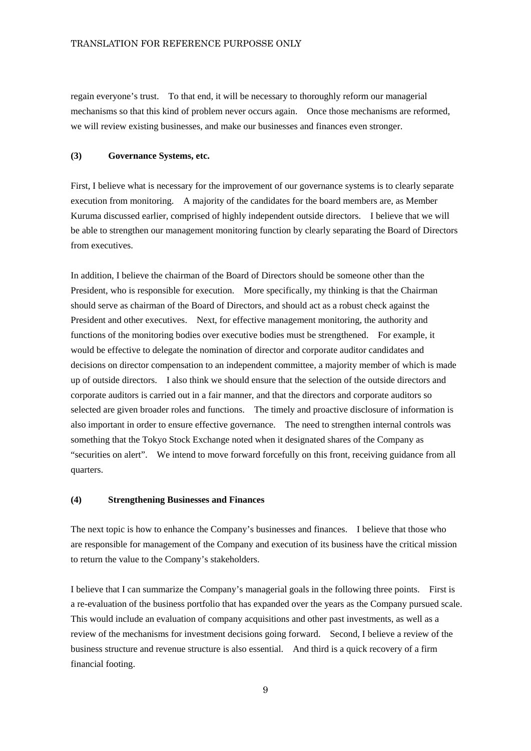regain everyone's trust. To that end, it will be necessary to thoroughly reform our managerial mechanisms so that this kind of problem never occurs again. Once those mechanisms are reformed, we will review existing businesses, and make our businesses and finances even stronger.

#### **(3) Governance Systems, etc.**

First, I believe what is necessary for the improvement of our governance systems is to clearly separate execution from monitoring. A majority of the candidates for the board members are, as Member Kuruma discussed earlier, comprised of highly independent outside directors. I believe that we will be able to strengthen our management monitoring function by clearly separating the Board of Directors from executives.

In addition, I believe the chairman of the Board of Directors should be someone other than the President, who is responsible for execution. More specifically, my thinking is that the Chairman should serve as chairman of the Board of Directors, and should act as a robust check against the President and other executives. Next, for effective management monitoring, the authority and functions of the monitoring bodies over executive bodies must be strengthened. For example, it would be effective to delegate the nomination of director and corporate auditor candidates and decisions on director compensation to an independent committee, a majority member of which is made up of outside directors. I also think we should ensure that the selection of the outside directors and corporate auditors is carried out in a fair manner, and that the directors and corporate auditors so selected are given broader roles and functions. The timely and proactive disclosure of information is also important in order to ensure effective governance. The need to strengthen internal controls was something that the Tokyo Stock Exchange noted when it designated shares of the Company as "securities on alert". We intend to move forward forcefully on this front, receiving guidance from all quarters.

#### **(4) Strengthening Businesses and Finances**

The next topic is how to enhance the Company's businesses and finances. I believe that those who are responsible for management of the Company and execution of its business have the critical mission to return the value to the Company's stakeholders.

I believe that I can summarize the Company's managerial goals in the following three points. First is a re-evaluation of the business portfolio that has expanded over the years as the Company pursued scale. This would include an evaluation of company acquisitions and other past investments, as well as a review of the mechanisms for investment decisions going forward. Second, I believe a review of the business structure and revenue structure is also essential. And third is a quick recovery of a firm financial footing.